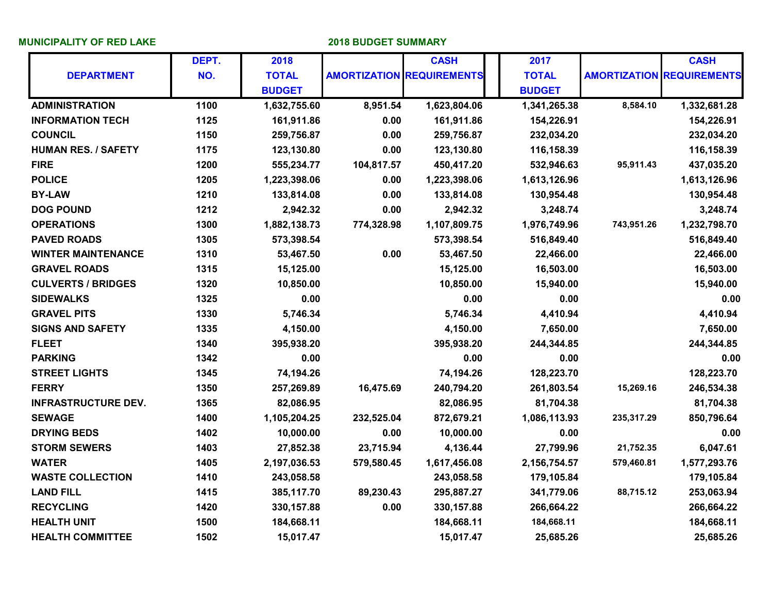**MUNICIPALITY OF RED LAKE 2018 BUDGET SUMMARY**

|                            | DEPT. | 2018          |            | <b>CASH</b>                      | 2017          |            | <b>CASH</b>                      |
|----------------------------|-------|---------------|------------|----------------------------------|---------------|------------|----------------------------------|
| <b>DEPARTMENT</b>          | NO.   | <b>TOTAL</b>  |            | <b>AMORTIZATION REQUIREMENTS</b> | <b>TOTAL</b>  |            | <b>AMORTIZATION REQUIREMENTS</b> |
|                            |       | <b>BUDGET</b> |            |                                  | <b>BUDGET</b> |            |                                  |
| <b>ADMINISTRATION</b>      | 1100  | 1,632,755.60  | 8,951.54   | 1,623,804.06                     | 1,341,265.38  | 8,584.10   | 1,332,681.28                     |
| <b>INFORMATION TECH</b>    | 1125  | 161,911.86    | 0.00       | 161,911.86                       | 154,226.91    |            | 154,226.91                       |
| <b>COUNCIL</b>             | 1150  | 259,756.87    | 0.00       | 259,756.87                       | 232,034.20    |            | 232,034.20                       |
| <b>HUMAN RES. / SAFETY</b> | 1175  | 123,130.80    | 0.00       | 123,130.80                       | 116,158.39    |            | 116,158.39                       |
| <b>FIRE</b>                | 1200  | 555,234.77    | 104,817.57 | 450,417.20                       | 532,946.63    | 95,911.43  | 437,035.20                       |
| <b>POLICE</b>              | 1205  | 1,223,398.06  | 0.00       | 1,223,398.06                     | 1,613,126.96  |            | 1,613,126.96                     |
| <b>BY-LAW</b>              | 1210  | 133,814.08    | 0.00       | 133,814.08                       | 130,954.48    |            | 130,954.48                       |
| <b>DOG POUND</b>           | 1212  | 2,942.32      | 0.00       | 2,942.32                         | 3,248.74      |            | 3,248.74                         |
| <b>OPERATIONS</b>          | 1300  | 1,882,138.73  | 774,328.98 | 1,107,809.75                     | 1,976,749.96  | 743,951.26 | 1,232,798.70                     |
| <b>PAVED ROADS</b>         | 1305  | 573,398.54    |            | 573,398.54                       | 516,849.40    |            | 516,849.40                       |
| <b>WINTER MAINTENANCE</b>  | 1310  | 53,467.50     | 0.00       | 53,467.50                        | 22,466.00     |            | 22,466.00                        |
| <b>GRAVEL ROADS</b>        | 1315  | 15,125.00     |            | 15,125.00                        | 16,503.00     |            | 16,503.00                        |
| <b>CULVERTS / BRIDGES</b>  | 1320  | 10,850.00     |            | 10,850.00                        | 15,940.00     |            | 15,940.00                        |
| <b>SIDEWALKS</b>           | 1325  | 0.00          |            | 0.00                             | 0.00          |            | 0.00                             |
| <b>GRAVEL PITS</b>         | 1330  | 5,746.34      |            | 5,746.34                         | 4,410.94      |            | 4,410.94                         |
| <b>SIGNS AND SAFETY</b>    | 1335  | 4,150.00      |            | 4,150.00                         | 7,650.00      |            | 7,650.00                         |
| <b>FLEET</b>               | 1340  | 395,938.20    |            | 395,938.20                       | 244,344.85    |            | 244,344.85                       |
| <b>PARKING</b>             | 1342  | 0.00          |            | 0.00                             | 0.00          |            | 0.00                             |
| <b>STREET LIGHTS</b>       | 1345  | 74,194.26     |            | 74,194.26                        | 128,223.70    |            | 128,223.70                       |
| <b>FERRY</b>               | 1350  | 257,269.89    | 16,475.69  | 240,794.20                       | 261,803.54    | 15,269.16  | 246,534.38                       |
| <b>INFRASTRUCTURE DEV.</b> | 1365  | 82,086.95     |            | 82,086.95                        | 81,704.38     |            | 81,704.38                        |
| <b>SEWAGE</b>              | 1400  | 1,105,204.25  | 232,525.04 | 872,679.21                       | 1,086,113.93  | 235,317.29 | 850,796.64                       |
| <b>DRYING BEDS</b>         | 1402  | 10,000.00     | 0.00       | 10,000.00                        | 0.00          |            | 0.00                             |
| <b>STORM SEWERS</b>        | 1403  | 27,852.38     | 23,715.94  | 4,136.44                         | 27,799.96     | 21,752.35  | 6,047.61                         |
| <b>WATER</b>               | 1405  | 2,197,036.53  | 579,580.45 | 1,617,456.08                     | 2,156,754.57  | 579,460.81 | 1,577,293.76                     |
| <b>WASTE COLLECTION</b>    | 1410  | 243,058.58    |            | 243,058.58                       | 179,105.84    |            | 179,105.84                       |
| <b>LAND FILL</b>           | 1415  | 385,117.70    | 89,230.43  | 295,887.27                       | 341,779.06    | 88,715.12  | 253,063.94                       |
| <b>RECYCLING</b>           | 1420  | 330, 157.88   | 0.00       | 330, 157.88                      | 266,664.22    |            | 266,664.22                       |
| <b>HEALTH UNIT</b>         | 1500  | 184,668.11    |            | 184,668.11                       | 184,668.11    |            | 184,668.11                       |
| <b>HEALTH COMMITTEE</b>    | 1502  | 15,017.47     |            | 15,017.47                        | 25,685.26     |            | 25,685.26                        |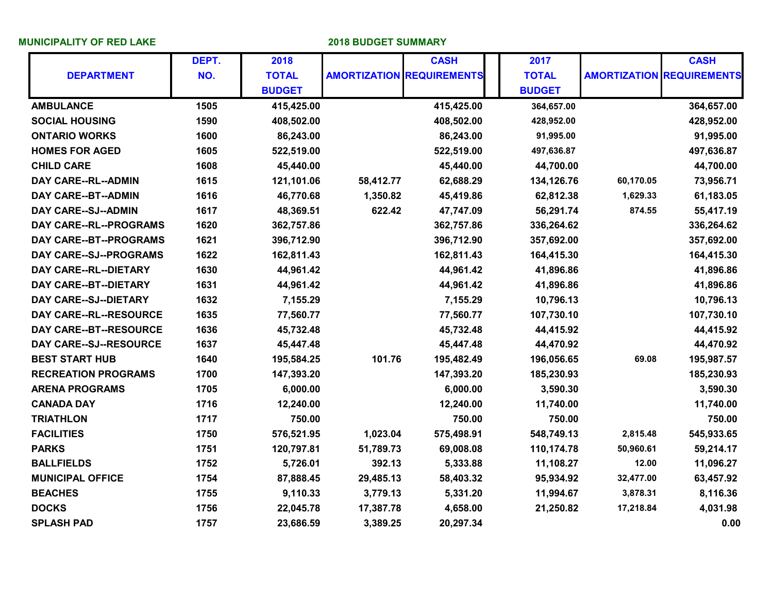**MUNICIPALITY OF RED LAKE 2018 BUDGET SUMMARY**

|                              | DEPT. | 2018          |           | <b>CASH</b>                      | 2017          |           | <b>CASH</b>                      |
|------------------------------|-------|---------------|-----------|----------------------------------|---------------|-----------|----------------------------------|
| <b>DEPARTMENT</b>            | NO.   | <b>TOTAL</b>  |           | <b>AMORTIZATION REQUIREMENTS</b> | <b>TOTAL</b>  |           | <b>AMORTIZATION REQUIREMENTS</b> |
|                              |       | <b>BUDGET</b> |           |                                  | <b>BUDGET</b> |           |                                  |
| <b>AMBULANCE</b>             | 1505  | 415,425.00    |           | 415,425.00                       | 364,657.00    |           | 364,657.00                       |
| <b>SOCIAL HOUSING</b>        | 1590  | 408,502.00    |           | 408,502.00                       | 428,952.00    |           | 428,952.00                       |
| <b>ONTARIO WORKS</b>         | 1600  | 86,243.00     |           | 86,243.00                        | 91,995.00     |           | 91,995.00                        |
| <b>HOMES FOR AGED</b>        | 1605  | 522,519.00    |           | 522,519.00                       | 497,636.87    |           | 497,636.87                       |
| <b>CHILD CARE</b>            | 1608  | 45,440.00     |           | 45,440.00                        | 44,700.00     |           | 44,700.00                        |
| DAY CARE--RL--ADMIN          | 1615  | 121,101.06    | 58,412.77 | 62,688.29                        | 134,126.76    | 60,170.05 | 73,956.71                        |
| DAY CARE--BT--ADMIN          | 1616  | 46,770.68     | 1,350.82  | 45,419.86                        | 62,812.38     | 1,629.33  | 61,183.05                        |
| DAY CARE--SJ--ADMIN          | 1617  | 48,369.51     | 622.42    | 47,747.09                        | 56,291.74     | 874.55    | 55,417.19                        |
| DAY CARE--RL--PROGRAMS       | 1620  | 362,757.86    |           | 362,757.86                       | 336,264.62    |           | 336,264.62                       |
| DAY CARE--BT--PROGRAMS       | 1621  | 396,712.90    |           | 396,712.90                       | 357,692.00    |           | 357,692.00                       |
| DAY CARE--SJ--PROGRAMS       | 1622  | 162,811.43    |           | 162,811.43                       | 164,415.30    |           | 164,415.30                       |
| DAY CARE--RL--DIETARY        | 1630  | 44,961.42     |           | 44,961.42                        | 41,896.86     |           | 41,896.86                        |
| DAY CARE--BT--DIETARY        | 1631  | 44,961.42     |           | 44,961.42                        | 41,896.86     |           | 41,896.86                        |
| <b>DAY CARE--SJ--DIETARY</b> | 1632  | 7,155.29      |           | 7,155.29                         | 10,796.13     |           | 10,796.13                        |
| DAY CARE--RL--RESOURCE       | 1635  | 77,560.77     |           | 77,560.77                        | 107,730.10    |           | 107,730.10                       |
| DAY CARE--BT--RESOURCE       | 1636  | 45,732.48     |           | 45,732.48                        | 44,415.92     |           | 44,415.92                        |
| DAY CARE--SJ--RESOURCE       | 1637  | 45,447.48     |           | 45,447.48                        | 44,470.92     |           | 44,470.92                        |
| <b>BEST START HUB</b>        | 1640  | 195,584.25    | 101.76    | 195,482.49                       | 196,056.65    | 69.08     | 195,987.57                       |
| <b>RECREATION PROGRAMS</b>   | 1700  | 147,393.20    |           | 147,393.20                       | 185,230.93    |           | 185,230.93                       |
| <b>ARENA PROGRAMS</b>        | 1705  | 6,000.00      |           | 6,000.00                         | 3,590.30      |           | 3,590.30                         |
| <b>CANADA DAY</b>            | 1716  | 12,240.00     |           | 12,240.00                        | 11,740.00     |           | 11,740.00                        |
| <b>TRIATHLON</b>             | 1717  | 750.00        |           | 750.00                           | 750.00        |           | 750.00                           |
| <b>FACILITIES</b>            | 1750  | 576,521.95    | 1,023.04  | 575,498.91                       | 548,749.13    | 2,815.48  | 545,933.65                       |
| <b>PARKS</b>                 | 1751  | 120,797.81    | 51,789.73 | 69,008.08                        | 110,174.78    | 50,960.61 | 59,214.17                        |
| <b>BALLFIELDS</b>            | 1752  | 5,726.01      | 392.13    | 5,333.88                         | 11,108.27     | 12.00     | 11,096.27                        |
| <b>MUNICIPAL OFFICE</b>      | 1754  | 87,888.45     | 29,485.13 | 58,403.32                        | 95,934.92     | 32,477.00 | 63,457.92                        |
| <b>BEACHES</b>               | 1755  | 9,110.33      | 3,779.13  | 5,331.20                         | 11,994.67     | 3,878.31  | 8,116.36                         |
| <b>DOCKS</b>                 | 1756  | 22,045.78     | 17,387.78 | 4,658.00                         | 21,250.82     | 17,218.84 | 4,031.98                         |
| <b>SPLASH PAD</b>            | 1757  | 23,686.59     | 3,389.25  | 20,297.34                        |               |           | 0.00                             |